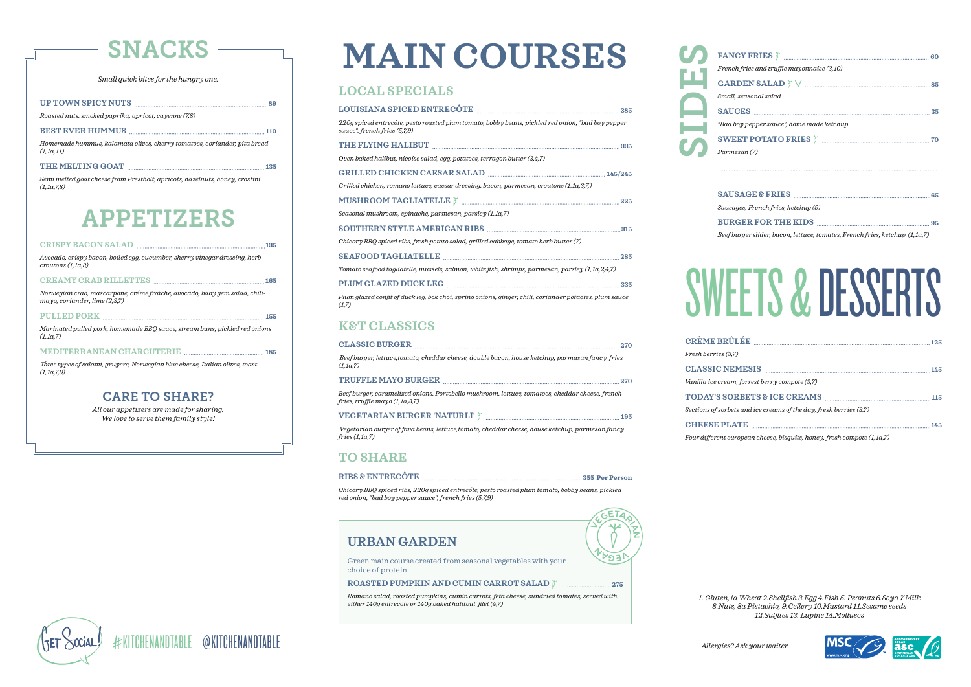# SNACKS

# APPETIZERS

#### CARE TO SHARE?

*Small quick bites for the hungry one.* 

*All our appetizers are made for sharing. We love to serve them family style!* 

|  | UP TOWN SPICY NUTS |  |  |
|--|--------------------|--|--|
|--|--------------------|--|--|

*Roasted nuts, smoked paprika, apricot, cayenne (7,8)*

#### **BEST EVER HUMMUS** 110

*Homemade hummus, kalamata olives, cherry tomatoes, coriander, pita bread (1,1a,11)*

#### THE MELTING GOAT **135**

*Semi melted goat cheese from Prestholt, apricots, hazelnuts, honey, crostini (1,1a,7,8)*

#### **CRISPY BACON SALAD 135**

*Avocado, crispy bacon, boiled egg, cucumber, sherry vinegar dressing, herb croutons (1,1a,3)*

#### **CREAMY CRAB RILLETTES 165**

*Norwegian crab, mascarpone, créme fraïche, avocado, baby gem salad, chilimayo, coriander, lime (2,3,7)*

#### **PULLED PORK 155**

*Marinated pulled pork, homemade BBQ sauce, stream buns, pickled red onions (1,1a,7)*

**MEDITERRANEAN CHARCUTERIE 185** 

*Three types of salami, gruyere, Norwegian blue cheese, Italian olives, toast (1,1a,7,9)*

#### **URBAN GARDEN**

Green main course created from seasonal vegetables with your choice of protein

#### **ROASTED PUMPKIN AND CUMIN CARROT SALAD 275**

*Romano salad, roasted pumpkins, cumin carrots, feta cheese, sundried tomates, served with either 140g entrecote or 140g baked halitbut filet (4,7)*

# **MAIN COURSES**

#### **LOCAL SPECIALS**

#### **K&T CLASSICS**

#### **TO SHARE**

#### RIBS & ENTRECÔTE **MELLES AND RIBS & ENTRECÔTE**

**CRÈME BRÛLÉE <sup>125</sup>** *Fresh berries (3,7)*  $TODAY'S SO$  $Sections$  of sorbe **CHEESE PLA**  $Four$  different europ  $CLASSIC NE$  $Vanilla$  *ice crean* 



| 220g spiced entrecôte, pesto roasted plum tomato, bobby beans, pickled red onion, "bad boy pepper<br>sauce", french fries (5,7,9) |  |
|-----------------------------------------------------------------------------------------------------------------------------------|--|
|                                                                                                                                   |  |
| Oven baked halibut, nicoise salad, egg, potatoes, terragon butter (3,4,7)                                                         |  |
|                                                                                                                                   |  |
| Grilled chicken, romano lettuce, caesar dressing, bacon, parmesan, croutons (1,1a,3,7,)                                           |  |
|                                                                                                                                   |  |
| Seasonal mushroom, spinache, parmesan, parsley (1,1a,7)                                                                           |  |
| SOUTHERN STYLE AMERICAN RIBS <b>Examination and SCITTEEN STYLE</b> AMERICAN RIBS <b>Examination and SCITTEEN STYLE</b>            |  |
| Chicory BBQ spiced ribs, fresh potato salad, grilled cabbage, tomato herb butter $(7)$                                            |  |
|                                                                                                                                   |  |
| Tomato seafood tagliatelle, mussels, salmon, white fish, shrimps, parmesan, parsley (1,1a,2,4,7)                                  |  |
|                                                                                                                                   |  |
| Plum glazed confit of duck leg, bok choi, spring onions, ginger, chili, coriander potaotes, plum sauce<br>(1,7)                   |  |

| CLASSIC BURGER <b>Express CLASSIC BURGER</b>                                                                                                                                                                                                                                                                                                                                                                                                                            |  |
|-------------------------------------------------------------------------------------------------------------------------------------------------------------------------------------------------------------------------------------------------------------------------------------------------------------------------------------------------------------------------------------------------------------------------------------------------------------------------|--|
| Beef burger, lettuce, tomato, cheddar cheese, double bacon, house ketchup, parmasan fancy fries<br>(1.1a.7)                                                                                                                                                                                                                                                                                                                                                             |  |
|                                                                                                                                                                                                                                                                                                                                                                                                                                                                         |  |
| Beef burger, caramelized onions, Portobello mushroom, lettuce, tomatoes, cheddar cheese, french<br>fries, truffle mayo $(1, 1a, 3, 7)$                                                                                                                                                                                                                                                                                                                                  |  |
| ${\bf VEGETARIAN\,BURGER\, \textcolor{red}{\bf NATURLI\,} } \hspace{-0.1cm}\textrm{\large\it\%}\  \  \ldots \  \  \, \textrm{\normalsize\it\quad \quad \  \  \, \textrm{\normalsize\it\%}\  \  \, \textrm{\normalsize\it\AA\normalsize\it\AA\normalsize\it\AA\normalsize\it\AA\normalsize\it\AA\normalsize\it\AA\normalsize\it\AA\normalsize\it\AA\normalsize\it\AA\normalsize\it\AA\normalsize\it\AA\normalsize\it\AA\normalsize\it\AA\normalsize\it\AA\normalsize\it$ |  |
| Vegetarian burger of fava beans, lettuce, tomato, cheddar cheese, house ketchup, parmesan fancy<br>fries (1.1a.7)                                                                                                                                                                                                                                                                                                                                                       |  |

*Chicory BBQ spiced ribs, 220g spiced entrecóte, pesto roasted plum tomato, bobby beans, pickled red onion, "bad boy pepper sauce", french fries (5,7,9)* 

*Beef burger slider, bacon, lettuce, tomates, French fries, ketchup (1,1a,7)*

| French fries and truffle mayonnaise (3,10)                                                                                                                                                                                                                                                                                                                                                                                                                                                                                                                          |  |
|---------------------------------------------------------------------------------------------------------------------------------------------------------------------------------------------------------------------------------------------------------------------------------------------------------------------------------------------------------------------------------------------------------------------------------------------------------------------------------------------------------------------------------------------------------------------|--|
| $\textbf{GARDEN SALAD} \;\;\mathbin{\text{\large $\uparrow$}}\; \lor \;\;\mathbin{\text{\large $\cdots$}}\; \;\mathbin{\text{\large $\cdots$}}\; \;\mathbin{\text{\large $\cdots$}}\; \;\mathbin{\text{\large $\cdots$}}\; \;\mathbin{\text{\large $\cdots$}}\; \;\mathbin{\text{\large $\cdots$}}\; \;\mathbin{\text{\large $\cdots$}}\; \;\mathbin{\text{\large $\cdots$}}\; \;\mathbin{\text{\large $\cdots$}}\; \;\mathbin{\text{\large $\cdots$}}\; \;\mathbin{\text{\large $\cdots$}}\; \;\mathbin{\text{\large $\cdots$}}\; \;\mathbin{\text{\large $\cdots$ |  |
| Small, seasonal salad                                                                                                                                                                                                                                                                                                                                                                                                                                                                                                                                               |  |
|                                                                                                                                                                                                                                                                                                                                                                                                                                                                                                                                                                     |  |
| "Bad boy pepper sauce", home made ketchup                                                                                                                                                                                                                                                                                                                                                                                                                                                                                                                           |  |
|                                                                                                                                                                                                                                                                                                                                                                                                                                                                                                                                                                     |  |
| Parmesan (7)                                                                                                                                                                                                                                                                                                                                                                                                                                                                                                                                                        |  |
|                                                                                                                                                                                                                                                                                                                                                                                                                                                                                                                                                                     |  |
|                                                                                                                                                                                                                                                                                                                                                                                                                                                                                                                                                                     |  |
| Sausages, French fries, ketchup (9)                                                                                                                                                                                                                                                                                                                                                                                                                                                                                                                                 |  |
|                                                                                                                                                                                                                                                                                                                                                                                                                                                                                                                                                                     |  |
|                                                                                                                                                                                                                                                                                                                                                                                                                                                                                                                                                                     |  |

*Small, seasonal salad French fries and truffle mayonnaise (3,10) Parmesan (7) "Bad b* SIDES

 $Sausa$ 

# SWEETS & DESSERTS

| 7)                                                     |  |
|--------------------------------------------------------|--|
|                                                        |  |
| n, forrest berry compote (3,7)                         |  |
|                                                        |  |
| ts and ice creams of the day, fresh berries (3,7)      |  |
|                                                        |  |
| ropean cheese, bisauits, honey, fresh compote (1 1a 7) |  |

*1. Gluten,1a Wheat 2.Shellfish 3.Egg 4.Fish 5. Peanuts 6.Soya 7.Milk 8.Nuts, 8a Pistachio, 9.Cellery 10.Mustard 11.Sesame seeds 12.Sulfites 13. Lupine 14.Molluscs*